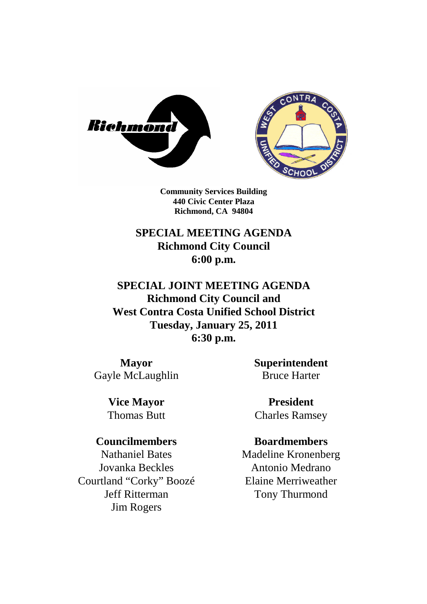



**Community Services Building 440 Civic Center Plaza Richmond, CA 94804**

## **SPECIAL MEETING AGENDA Richmond City Council 6:00 p.m.**

**SPECIAL JOINT MEETING AGENDA Richmond City Council and West Contra Costa Unified School District Tuesday, January 25, 2011 6:30 p.m.**

**Mayor** Gayle McLaughlin **Superintendent** Bruce Harter

**Vice Mayor** Thomas Butt

### **Councilmembers**

Nathaniel Bates Jovanka Beckles Courtland "Corky" Boozé Jeff Ritterman Jim Rogers

**President** Charles Ramsey

### **Boardmembers**

Madeline Kronenberg Antonio Medrano Elaine Merriweather Tony Thurmond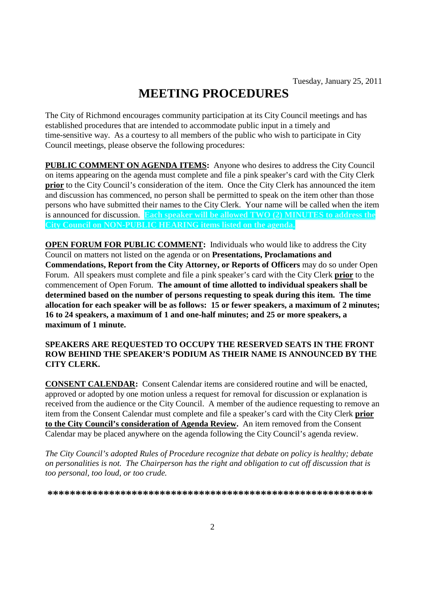# **MEETING PROCEDURES**

The City of Richmond encourages community participation at its City Council meetings and has established procedures that are intended to accommodate public input in a timely and time-sensitive way. As a courtesy to all members of the public who wish to participate in City Council meetings, please observe the following procedures:

**PUBLIC COMMENT ON AGENDA ITEMS:** Anyone who desires to address the City Council on items appearing on the agenda must complete and file a pink speaker's card with the City Clerk **prior** to the City Council's consideration of the item. Once the City Clerk has announced the item and discussion has commenced, no person shall be permitted to speak on the item other than those persons who have submitted their names to the City Clerk. Your name will be called when the item is announced for discussion. **Each speaker will be allowed TWO (2) MINUTES to address the City Council on NON-PUBLIC HEARING items listed on the agenda.**

**OPEN FORUM FOR PUBLIC COMMENT:** Individuals who would like to address the City Council on matters not listed on the agenda or on **Presentations, Proclamations and Commendations, Report from the City Attorney, or Reports of Officers** may do so under Open Forum. All speakers must complete and file a pink speaker's card with the City Clerk **prior** to the commencement of Open Forum. **The amount of time allotted to individual speakers shall be determined based on the number of persons requesting to speak during this item. The time allocation for each speaker will be as follows: 15 or fewer speakers, a maximum of 2 minutes; 16 to 24 speakers, a maximum of 1 and one-half minutes; and 25 or more speakers, a maximum of 1 minute.**

#### **SPEAKERS ARE REQUESTED TO OCCUPY THE RESERVED SEATS IN THE FRONT ROW BEHIND THE SPEAKER'S PODIUM AS THEIR NAME IS ANNOUNCED BY THE CITY CLERK.**

**CONSENT CALENDAR:** Consent Calendar items are considered routine and will be enacted, approved or adopted by one motion unless a request for removal for discussion or explanation is received from the audience or the City Council. A member of the audience requesting to remove an item from the Consent Calendar must complete and file a speaker's card with the City Clerk **prior to the City Council's consideration of Agenda Review.** An item removed from the Consent Calendar may be placed anywhere on the agenda following the City Council's agenda review.

*The City Council's adopted Rules of Procedure recognize that debate on policy is healthy; debate on personalities is not. The Chairperson has the right and obligation to cut off discussion that is too personal, too loud, or too crude.*

**\*\*\*\*\*\*\*\*\*\*\*\*\*\*\*\*\*\*\*\*\*\*\*\*\*\*\*\*\*\*\*\*\*\*\*\*\*\*\*\*\*\*\*\*\*\*\*\*\*\*\*\*\*\*\*\*\*\***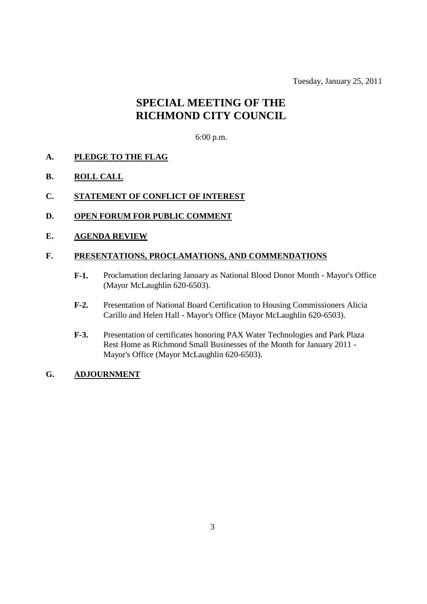Tuesday, January 25, 2011

## **SPECIAL MEETING OF THE RICHMOND CITY COUNCIL**

#### 6:00 p.m.

- **A. PLEDGE TO THE FLAG**
- **B. ROLL CALL**
- **C. STATEMENT OF CONFLICT OF INTEREST**
- **D. OPEN FORUM FOR PUBLIC COMMENT**
- **E. AGENDA REVIEW**

#### **F. PRESENTATIONS, PROCLAMATIONS, AND COMMENDATIONS**

- **F-1.** Proclamation declaring January as National Blood Donor Month Mayor's Office (Mayor McLaughlin 620-6503).
- **F-2.** Presentation of National Board Certification to Housing Commissioners Alicia Carillo and Helen Hall - Mayor's Office (Mayor McLaughlin 620-6503).
- **F-3.** Presentation of certificates honoring PAX Water Technologies and Park Plaza Rest Home as Richmond Small Businesses of the Month for January 2011 - Mayor's Office (Mayor McLaughlin 620-6503).

#### **G. ADJOURNMENT**